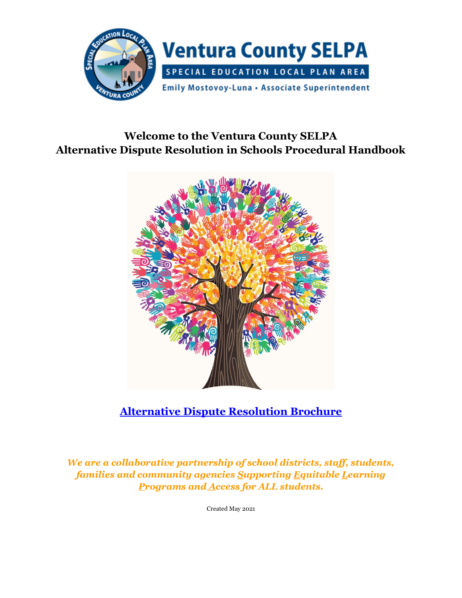

# **Welcome to the Ventura County SELPA Alternative Dispute Resolution in Schools Procedural Handbook**



# **[Alternative Dispute Resolution Brochure](https://www.vcselpa.org/LinkClick.aspx?fileticket=4hpTY_8OsR8%3d&portalid=0)**

*We are a collaborative partnership of school districts, staff, students, families and community agencies Supporting Equitable Learning Programs and Access for ALL students.*

Created May 2021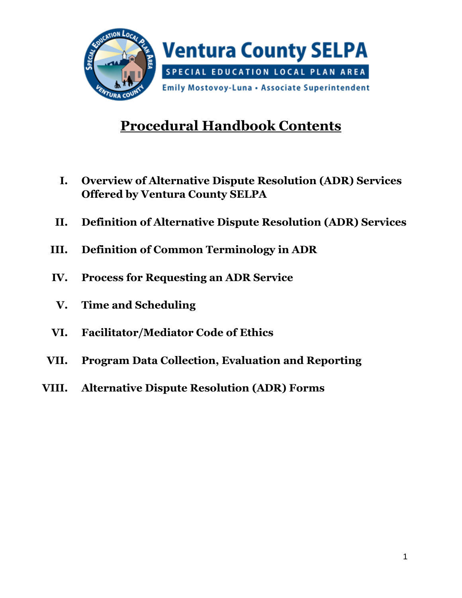

# **Procedural Handbook Contents**

- **I. Overview of Alternative Dispute Resolution (ADR) Services Offered by Ventura County SELPA**
- **II. Definition of Alternative Dispute Resolution (ADR) Services**
- **III. Definition of Common Terminology in ADR**
- **IV. Process for Requesting an ADR Service**
- **V. Time and Scheduling**
- **VI. Facilitator/Mediator Code of Ethics**
- **VII. Program Data Collection, Evaluation and Reporting**
- **VIII. Alternative Dispute Resolution (ADR) Forms**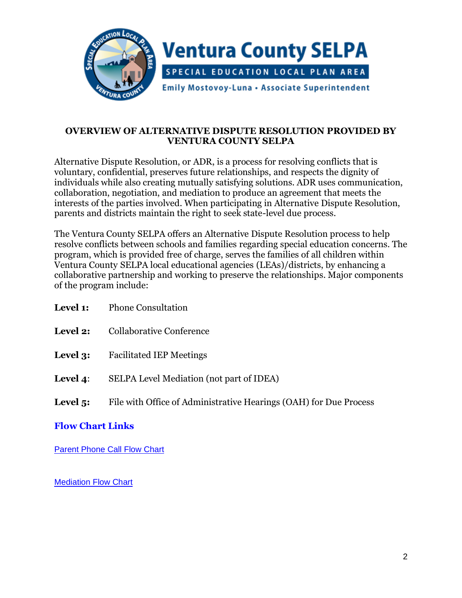

#### **OVERVIEW OF ALTERNATIVE DISPUTE RESOLUTION PROVIDED BY VENTURA COUNTY SELPA**

Alternative Dispute Resolution, or ADR, is a process for resolving conflicts that is voluntary, confidential, preserves future relationships, and respects the dignity of individuals while also creating mutually satisfying solutions. ADR uses communication, collaboration, negotiation, and mediation to produce an agreement that meets the interests of the parties involved. When participating in Alternative Dispute Resolution, parents and districts maintain the right to seek state-level due process.

The Ventura County SELPA offers an Alternative Dispute Resolution process to help resolve conflicts between schools and families regarding special education concerns. The program, which is provided free of charge, serves the families of all children within Ventura County SELPA local educational agencies (LEAs)/districts, by enhancing a collaborative partnership and working to preserve the relationships. Major components of the program include:

| Level 1:        | <b>Phone Consultation</b>                                         |
|-----------------|-------------------------------------------------------------------|
| <b>Level 2:</b> | Collaborative Conference                                          |
| Level 3:        | <b>Facilitated IEP Meetings</b>                                   |
| Level 4:        | SELPA Level Mediation (not part of IDEA)                          |
| Level $5$ :     | File with Office of Administrative Hearings (OAH) for Due Process |

#### **Flow Chart Links**

[Parent Phone Call Flow Chart](https://www.vcselpa.org/LinkClick.aspx?fileticket=0c2enbJ3skg%3d&portalid=0)

[Mediation Flow Chart](https://www.vcselpa.org/LinkClick.aspx?fileticket=076uJVCjv7Q%3d&portalid=0)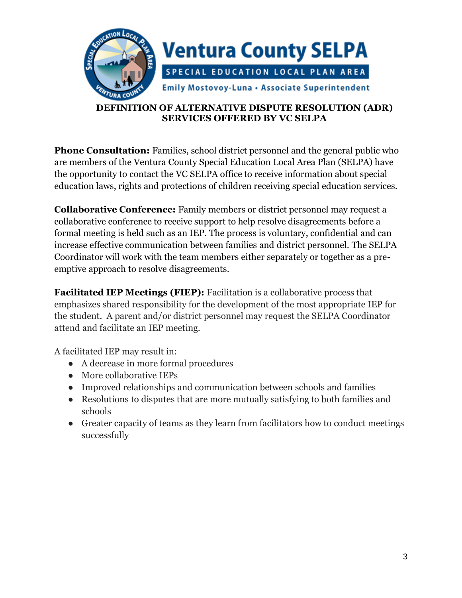

#### **DEFINITION OF ALTERNATIVE DISPUTE RESOLUTION (ADR) SERVICES OFFERED BY VC SELPA**

**Phone Consultation:** Families, school district personnel and the general public who are members of the Ventura County Special Education Local Area Plan (SELPA) have the opportunity to contact the VC SELPA office to receive information about special education laws, rights and protections of children receiving special education services.

**Collaborative Conference:** Family members or district personnel may request a collaborative conference to receive support to help resolve disagreements before a formal meeting is held such as an IEP. The process is voluntary, confidential and can increase effective communication between families and district personnel. The SELPA Coordinator will work with the team members either separately or together as a preemptive approach to resolve disagreements.

**Facilitated IEP Meetings (FIEP):** Facilitation is a collaborative process that emphasizes shared responsibility for the development of the most appropriate IEP for the student. A parent and/or district personnel may request the SELPA Coordinator attend and facilitate an IEP meeting.

A facilitated IEP may result in:

- A decrease in more formal procedures
- More collaborative IEPs
- Improved relationships and communication between schools and families
- Resolutions to disputes that are more mutually satisfying to both families and schools
- Greater capacity of teams as they learn from facilitators how to conduct meetings successfully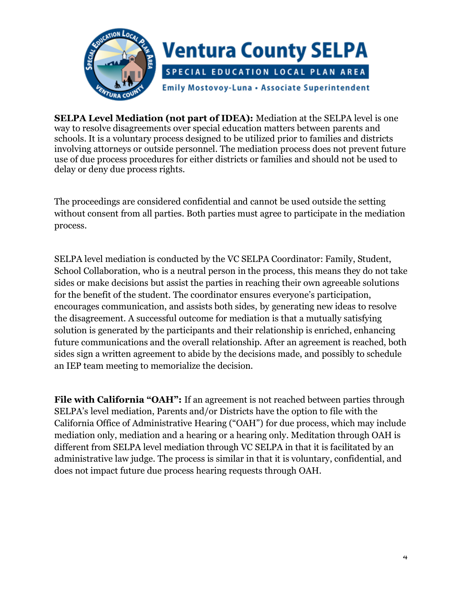

**SELPA Level Mediation (not part of IDEA):** Mediation at the SELPA level is one way to resolve disagreements over special education matters between parents and schools. It is a voluntary process designed to be utilized prior to families and districts involving attorneys or outside personnel. The mediation process does not prevent future use of due process procedures for either districts or families and should not be used to delay or deny due process rights.

The proceedings are considered confidential and cannot be used outside the setting without consent from all parties. Both parties must agree to participate in the mediation process.

SELPA level mediation is conducted by the VC SELPA Coordinator: Family, Student, School Collaboration, who is a neutral person in the process, this means they do not take sides or make decisions but assist the parties in reaching their own agreeable solutions for the benefit of the student. The coordinator ensures everyone's participation, encourages communication, and assists both sides, by generating new ideas to resolve the disagreement. A successful outcome for mediation is that a mutually satisfying solution is generated by the participants and their relationship is enriched, enhancing future communications and the overall relationship. After an agreement is reached, both sides sign a written agreement to abide by the decisions made, and possibly to schedule an IEP team meeting to memorialize the decision.

**File with California "OAH":** If an agreement is not reached between parties through SELPA's level mediation, Parents and/or Districts have the option to file with the California Office of Administrative Hearing ("OAH") for due process, which may include mediation only, mediation and a hearing or a hearing only. Meditation through OAH is different from SELPA level mediation through VC SELPA in that it is facilitated by an administrative law judge. The process is similar in that it is voluntary, confidential, and does not impact future due process hearing requests through OAH.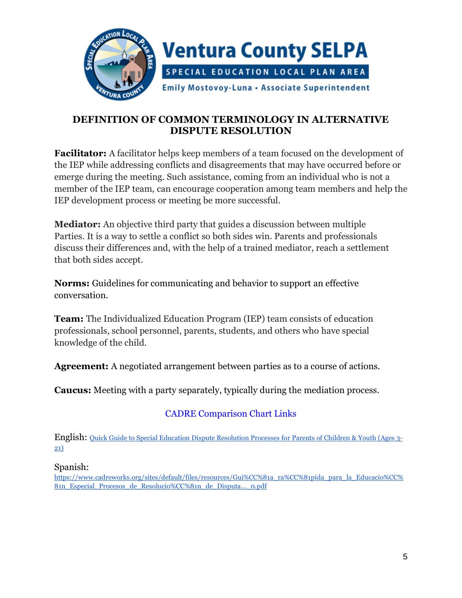

# **DEFINITION OF COMMON TERMINOLOGY IN ALTERNATIVE DISPUTE RESOLUTION**

**Facilitator:** A facilitator helps keep members of a team focused on the development of the IEP while addressing conflicts and disagreements that may have occurred before or emerge during the meeting. Such assistance, coming from an individual who is not a member of the IEP team, can encourage cooperation among team members and help the IEP development process or meeting be more successful.

**Mediator:** An objective third party that guides a discussion between multiple Parties. It is a way to settle a conflict so both sides win. Parents and professionals discuss their differences and, with the help of a trained mediator, reach a settlement that both sides accept.

**Norms:** Guidelines for communicating and behavior to support an effective conversation.

**Team:** The Individualized Education Program (IEP) team consists of education professionals, school personnel, parents, students, and others who have special knowledge of the child.

**Agreement:** A negotiated arrangement between parties as to a course of actions.

**Caucus:** Meeting with a party separately, typically during the mediation process.

# CADRE Comparison Chart Links

English: [Quick Guide to Special Education Dispute Resolution Processes for Parents of Children & Youth \(Ages 3-](https://www.cadreworks.org/sites/default/files/resources/Dispute%20Resolution%20Process%20Comparison%20Chart.pdf) [21\)](https://www.cadreworks.org/sites/default/files/resources/Dispute%20Resolution%20Process%20Comparison%20Chart.pdf)

#### Spanish:

[https://www.cadreworks.org/sites/default/files/resources/Gui%CC%81a\\_ra%CC%81pida\\_para\\_la\\_Educacio%CC%](https://www.cadreworks.org/sites/default/files/resources/Gui%CC%81a_ra%CC%81pida_para_la_Educacio%CC%81n_Especial_Procesos_de_Resolucio%CC%81n_de_Disputa..._0.pdf) [81n\\_Especial\\_Procesos\\_de\\_Resolucio%CC%81n\\_de\\_Disputa](https://www.cadreworks.org/sites/default/files/resources/Gui%CC%81a_ra%CC%81pida_para_la_Educacio%CC%81n_Especial_Procesos_de_Resolucio%CC%81n_de_Disputa..._0.pdf)…\_0.pdf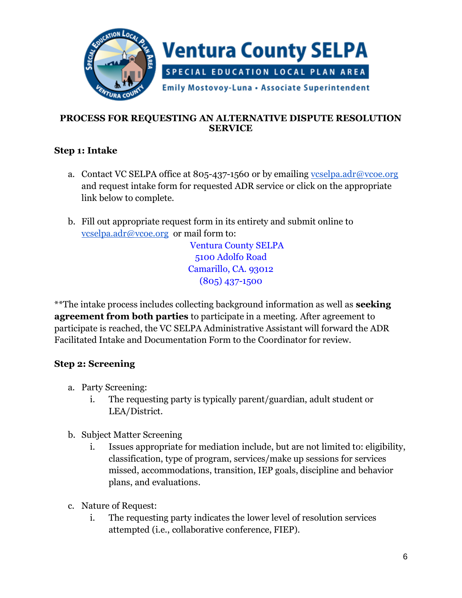

#### **PROCESS FOR REQUESTING AN ALTERNATIVE DISPUTE RESOLUTION SERVICE**

# **Step 1: Intake**

- a. Contact VC SELPA office at 805-437-1560 or by emailing vcselpa.adr@vcoe.org and request intake form for requested ADR service or click on the appropriate link below to complete.
- b. Fill out appropriate request form in its entirety and submit online to [vcselpa.adr@vcoe.org](mailto:vcselpa.adr@vcoe.org) or mail form to:

Ventura County SELPA 5100 Adolfo Road Camarillo, CA. 93012 (805) 437-1500

\*\*The intake process includes collecting background information as well as **seeking agreement from both parties** to participate in a meeting. After agreement to participate is reached, the VC SELPA Administrative Assistant will forward the ADR Facilitated Intake and Documentation Form to the Coordinator for review.

# **Step 2: Screening**

- a. Party Screening:
	- i. The requesting party is typically parent/guardian, adult student or LEA/District.
- b. Subject Matter Screening
	- i. Issues appropriate for mediation include, but are not limited to: eligibility, classification, type of program, services/make up sessions for services missed, accommodations, transition, IEP goals, discipline and behavior plans, and evaluations.
- c. Nature of Request:
	- i. The requesting party indicates the lower level of resolution services attempted (i.e., collaborative conference, FIEP).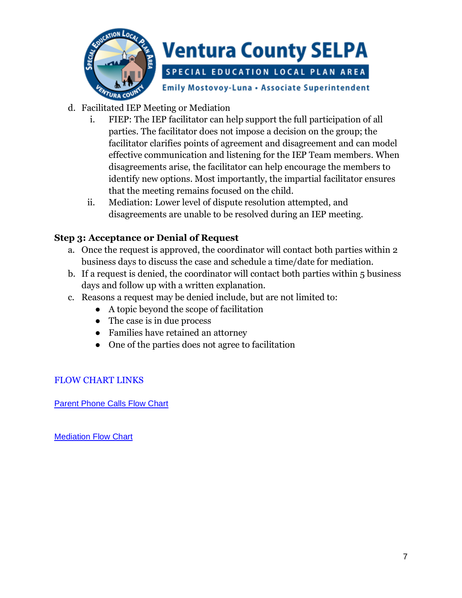

- d. Facilitated IEP Meeting or Mediation
	- i. FIEP: The IEP facilitator can help support the full participation of all parties. The facilitator does not impose a decision on the group; the facilitator clarifies points of agreement and disagreement and can model effective communication and listening for the IEP Team members. When disagreements arise, the facilitator can help encourage the members to identify new options. Most importantly, the impartial facilitator ensures that the meeting remains focused on the child.
	- ii. Mediation: Lower level of dispute resolution attempted, and disagreements are unable to be resolved during an IEP meeting.

#### **Step 3: Acceptance or Denial of Request**

- a. Once the request is approved, the coordinator will contact both parties within 2 business days to discuss the case and schedule a time/date for mediation.
- b. If a request is denied, the coordinator will contact both parties within 5 business days and follow up with a written explanation.
- c. Reasons a request may be denied include, but are not limited to:
	- A topic beyond the scope of facilitation
	- The case is in due process
	- Families have retained an attorney
	- One of the parties does not agree to facilitation

#### FLOW CHART LINKS

[Parent Phone Calls Flow Chart](https://www.vcselpa.org/LinkClick.aspx?fileticket=0c2enbJ3skg%3d&portalid=0)

[Mediation Flow Chart](https://www.vcselpa.org/LinkClick.aspx?fileticket=076uJVCjv7Q%3d&portalid=0)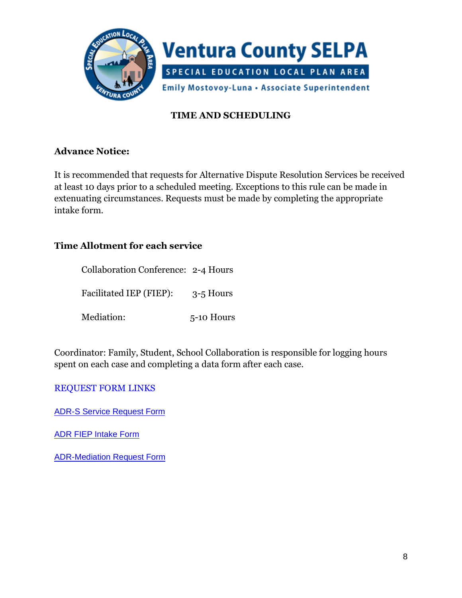

# **TIME AND SCHEDULING**

#### **Advance Notice:**

It is recommended that requests for Alternative Dispute Resolution Services be received at least 10 days prior to a scheduled meeting. Exceptions to this rule can be made in extenuating circumstances. Requests must be made by completing the appropriate intake form.

#### **Time Allotment for each service**

| <b>Collaboration Conference: 2-4 Hours</b> |             |
|--------------------------------------------|-------------|
| Facilitated IEP (FIEP):                    | $3-5$ Hours |
| Mediation:                                 | 5-10 Hours  |

Coordinator: Family, Student, School Collaboration is responsible for logging hours spent on each case and completing a data form after each case.

#### REQUEST FORM LINKS

[ADR-S Service Request Form](https://www.vcselpa.org/LinkClick.aspx?fileticket=fuCX-c7xD7s%3d&portalid=0)

[ADR FIEP Intake Form](https://www.vcselpa.org/LinkClick.aspx?fileticket=wu2ohUX1Tr8%3d&portalid=0)

[ADR-Mediation Request Form](https://www.vcselpa.org/LinkClick.aspx?fileticket=nNA_DFrdATI%3d&portalid=0)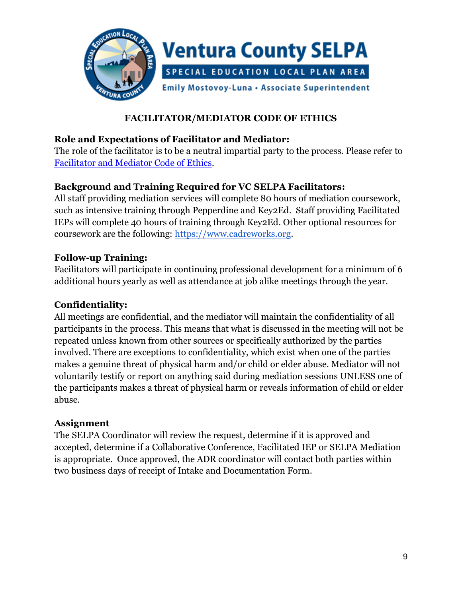

### **FACILITATOR/MEDIATOR CODE OF ETHICS**

#### **Role and Expectations of Facilitator and Mediator:**

The role of the facilitator is to be a neutral impartial party to the process. Please refer to [Facilitator and Mediator Code of Ethics.](https://www.vcselpa.org/LinkClick.aspx?fileticket=1_DUWJOo-UI%3d&portalid=0)

#### **Background and Training Required for VC SELPA Facilitators:**

All staff providing mediation services will complete 80 hours of mediation coursework, such as intensive training through Pepperdine and Key2Ed. Staff providing Facilitated IEPs will complete 40 hours of training through Key2Ed. Other optional resources for coursework are the following: [https://www.cadreworks.org.](https://www.cadreworks.org/)

#### **Follow-up Training:**

Facilitators will participate in continuing professional development for a minimum of 6 additional hours yearly as well as attendance at job alike meetings through the year.

#### **Confidentiality:**

All meetings are confidential, and the mediator will maintain the confidentiality of all participants in the process. This means that what is discussed in the meeting will not be repeated unless known from other sources or specifically authorized by the parties involved. There are exceptions to confidentiality, which exist when one of the parties makes a genuine threat of physical harm and/or child or elder abuse. Mediator will not voluntarily testify or report on anything said during mediation sessions UNLESS one of the participants makes a threat of physical harm or reveals information of child or elder abuse.

#### **Assignment**

The SELPA Coordinator will review the request, determine if it is approved and accepted, determine if a Collaborative Conference, Facilitated IEP or SELPA Mediation is appropriate. Once approved, the ADR coordinator will contact both parties within two business days of receipt of Intake and Documentation Form.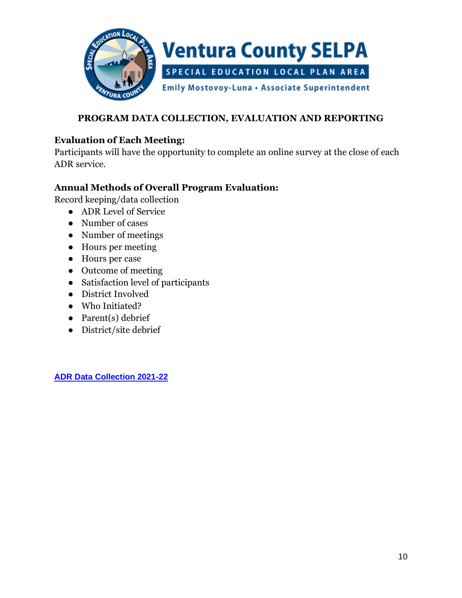

# **PROGRAM DATA COLLECTION, EVALUATION AND REPORTING**

#### **Evaluation of Each Meeting:**

Participants will have the opportunity to complete an online survey at the close of each ADR service.

#### **Annual Methods of Overall Program Evaluation:**

Record keeping/data collection

- ADR Level of Service
- Number of cases
- Number of meetings
- Hours per meeting
- Hours per case
- Outcome of meeting
- Satisfaction level of participants
- District Involved
- Who Initiated?
- Parent(s) debrief
- District/site debrief

**[ADR Data Collection 2021-22](https://vcoeorg-my.sharepoint.com/personal/sfontenot_vcoe_org/Documents/Publications/ADR/Final/ADR%20Data%20Collection%202021-22.xlsx)**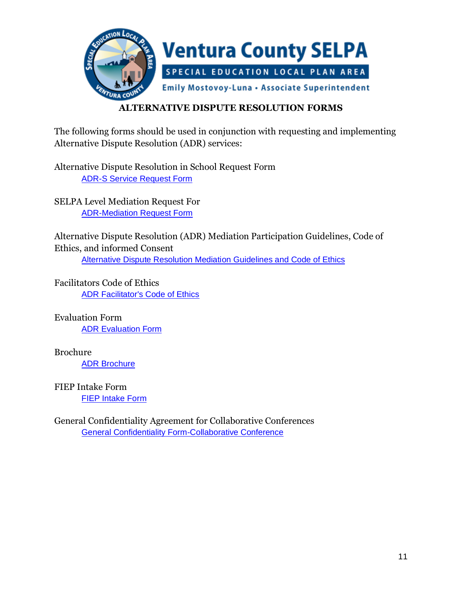

# **ALTERNATIVE DISPUTE RESOLUTION FORMS**

The following forms should be used in conjunction with requesting and implementing Alternative Dispute Resolution (ADR) services:

Alternative Dispute Resolution in School Request Form [ADR-S Service Request Form](https://www.vcselpa.org/LinkClick.aspx?fileticket=fuCX-c7xD7s%3d&portalid=0)

SELPA Level Mediation Request For [ADR-Mediation Request Form](https://www.vcselpa.org/LinkClick.aspx?fileticket=nNA_DFrdATI%3d&portalid=0)

Alternative Dispute Resolution (ADR) Mediation Participation Guidelines, Code of Ethics, and informed Consent [Alternative Dispute Resolution Mediation Guidelines and Code of Ethics](https://www.vcselpa.org/LinkClick.aspx?fileticket=fJ-kkBEC5_0%3d&portalid=0)

Facilitators Code of Ethics [ADR Facilitator's Code of Ethics](https://www.vcselpa.org/LinkClick.aspx?fileticket=1_DUWJOo-UI%3d&portalid=0)

Evaluation Form [ADR Evaluation Form](https://www.vcselpa.org/LinkClick.aspx?fileticket=cNKuKu14TzI%3d&portalid=0)

Brochure [ADR Brochure](https://www.vcselpa.org/LinkClick.aspx?fileticket=4hpTY_8OsR8%3d&portalid=0)

FIEP Intake Form **[FIEP Intake Form](https://www.vcselpa.org/LinkClick.aspx?fileticket=wu2ohUX1Tr8%3d&portalid=0)** 

General Confidentiality Agreement for Collaborative Conferences [General Confidentiality Form-Collaborative Conference](https://www.vcselpa.org/LinkClick.aspx?fileticket=rH5KSzwIHjw%3d&portalid=0)